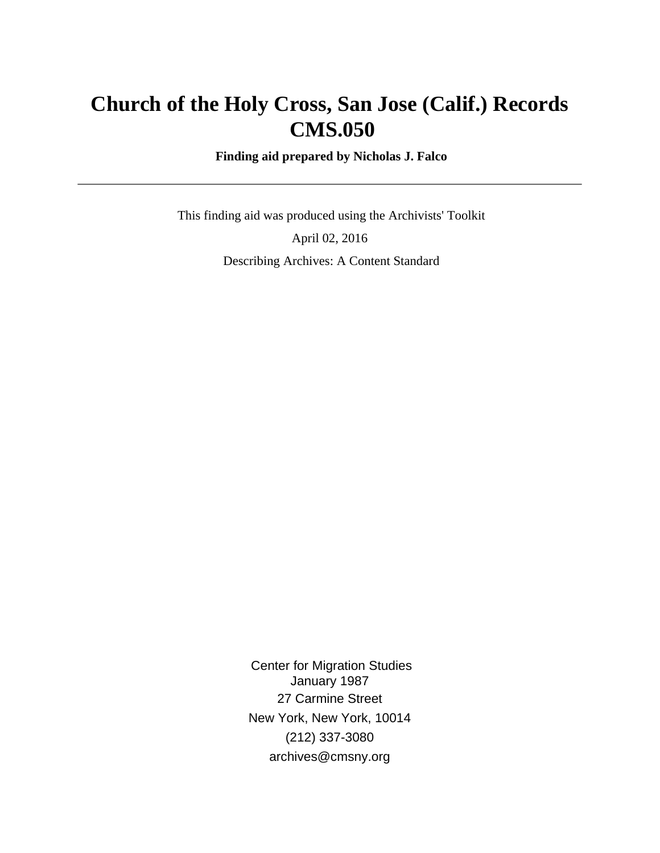# **Church of the Holy Cross, San Jose (Calif.) Records CMS.050**

 **Finding aid prepared by Nicholas J. Falco**

 This finding aid was produced using the Archivists' Toolkit April 02, 2016 Describing Archives: A Content Standard

> Center for Migration Studies January 1987 27 Carmine Street New York, New York, 10014 (212) 337-3080 archives@cmsny.org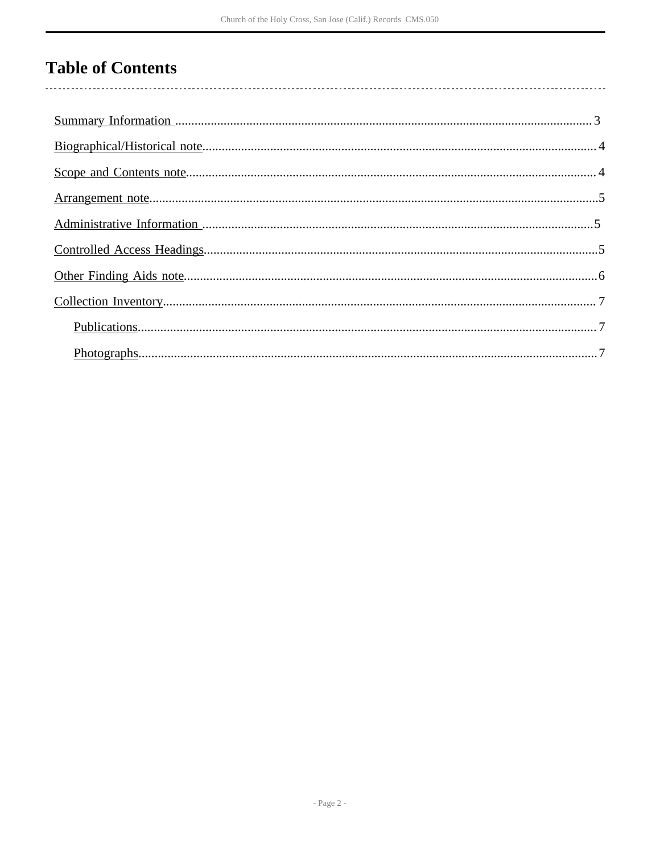# **Table of Contents**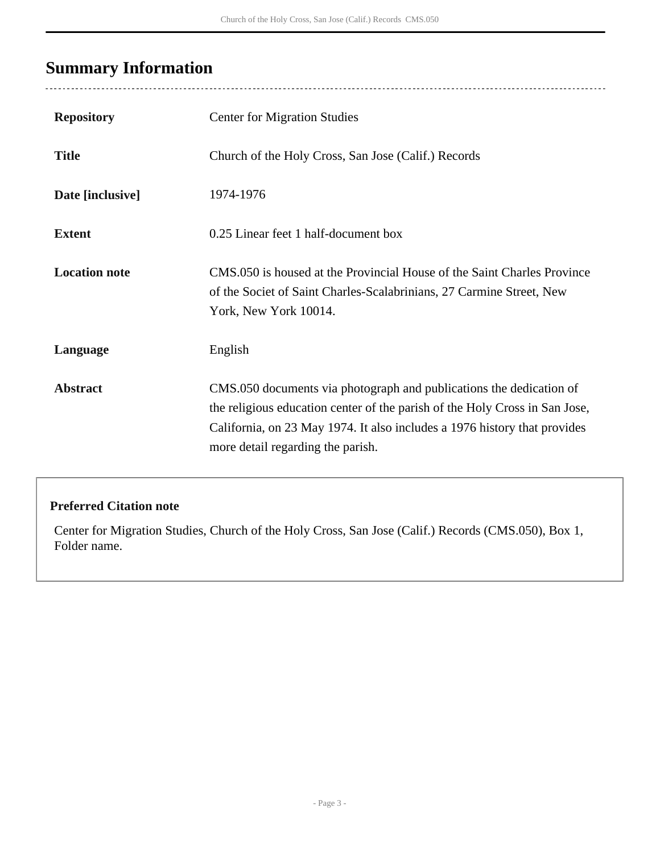# <span id="page-2-0"></span>**Summary Information**

| <b>Repository</b>    | <b>Center for Migration Studies</b>                                                                                                                                                                                                                                  |
|----------------------|----------------------------------------------------------------------------------------------------------------------------------------------------------------------------------------------------------------------------------------------------------------------|
| <b>Title</b>         | Church of the Holy Cross, San Jose (Calif.) Records                                                                                                                                                                                                                  |
| Date [inclusive]     | 1974-1976                                                                                                                                                                                                                                                            |
| <b>Extent</b>        | 0.25 Linear feet 1 half-document box                                                                                                                                                                                                                                 |
| <b>Location note</b> | CMS.050 is housed at the Provincial House of the Saint Charles Province<br>of the Societ of Saint Charles-Scalabrinians, 27 Carmine Street, New<br>York, New York 10014.                                                                                             |
| Language             | English                                                                                                                                                                                                                                                              |
| <b>Abstract</b>      | CMS.050 documents via photograph and publications the dedication of<br>the religious education center of the parish of the Holy Cross in San Jose,<br>California, on 23 May 1974. It also includes a 1976 history that provides<br>more detail regarding the parish. |

### **Preferred Citation note**

Center for Migration Studies, Church of the Holy Cross, San Jose (Calif.) Records (CMS.050), Box 1, Folder name.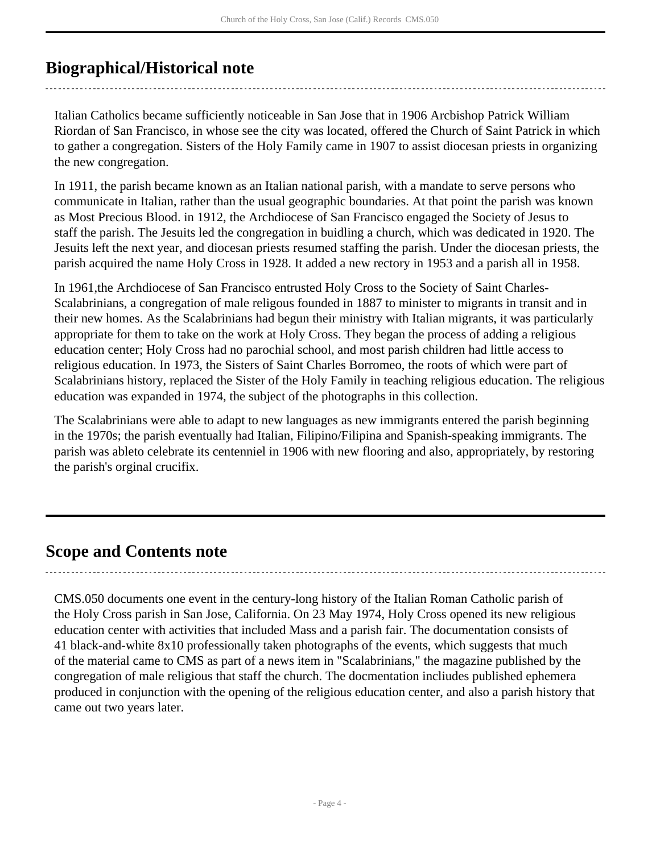## <span id="page-3-0"></span>**Biographical/Historical note**

Italian Catholics became sufficiently noticeable in San Jose that in 1906 Arcbishop Patrick William Riordan of San Francisco, in whose see the city was located, offered the Church of Saint Patrick in which to gather a congregation. Sisters of the Holy Family came in 1907 to assist diocesan priests in organizing the new congregation.

In 1911, the parish became known as an Italian national parish, with a mandate to serve persons who communicate in Italian, rather than the usual geographic boundaries. At that point the parish was known as Most Precious Blood. in 1912, the Archdiocese of San Francisco engaged the Society of Jesus to staff the parish. The Jesuits led the congregation in buidling a church, which was dedicated in 1920. The Jesuits left the next year, and diocesan priests resumed staffing the parish. Under the diocesan priests, the parish acquired the name Holy Cross in 1928. It added a new rectory in 1953 and a parish all in 1958.

In 1961,the Archdiocese of San Francisco entrusted Holy Cross to the Society of Saint Charles-Scalabrinians, a congregation of male religous founded in 1887 to minister to migrants in transit and in their new homes. As the Scalabrinians had begun their ministry with Italian migrants, it was particularly appropriate for them to take on the work at Holy Cross. They began the process of adding a religious education center; Holy Cross had no parochial school, and most parish children had little access to religious education. In 1973, the Sisters of Saint Charles Borromeo, the roots of which were part of Scalabrinians history, replaced the Sister of the Holy Family in teaching religious education. The religious education was expanded in 1974, the subject of the photographs in this collection.

The Scalabrinians were able to adapt to new languages as new immigrants entered the parish beginning in the 1970s; the parish eventually had Italian, Filipino/Filipina and Spanish-speaking immigrants. The parish was ableto celebrate its centenniel in 1906 with new flooring and also, appropriately, by restoring the parish's orginal crucifix.

## <span id="page-3-1"></span>**Scope and Contents note**

CMS.050 documents one event in the century-long history of the Italian Roman Catholic parish of the Holy Cross parish in San Jose, California. On 23 May 1974, Holy Cross opened its new religious education center with activities that included Mass and a parish fair. The documentation consists of 41 black-and-white 8x10 professionally taken photographs of the events, which suggests that much of the material came to CMS as part of a news item in "Scalabrinians," the magazine published by the congregation of male religious that staff the church. The docmentation incliudes published ephemera produced in conjunction with the opening of the religious education center, and also a parish history that came out two years later.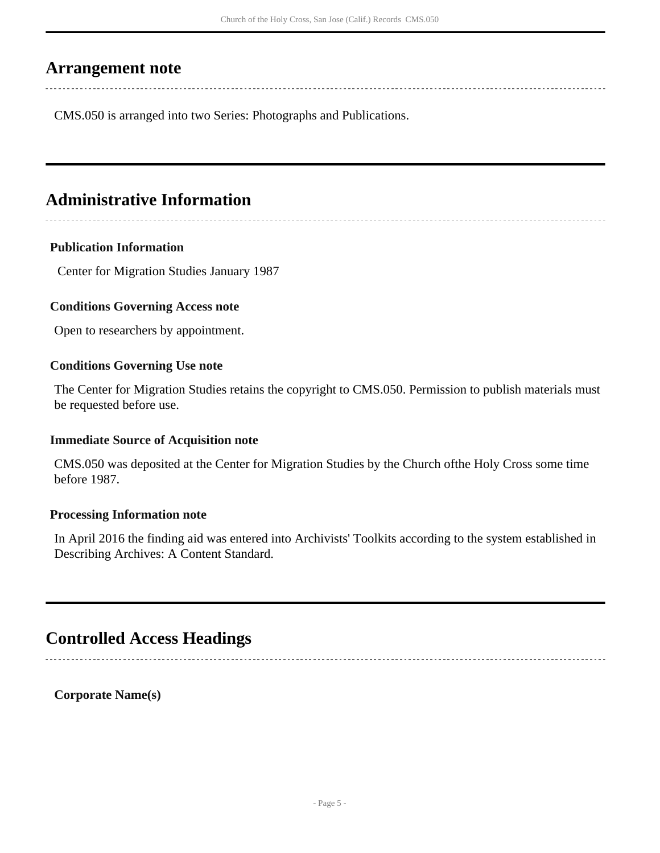## <span id="page-4-0"></span>**Arrangement note**

CMS.050 is arranged into two Series: Photographs and Publications.

## <span id="page-4-1"></span>**Administrative Information**

#### **Publication Information**

Center for Migration Studies January 1987

#### **Conditions Governing Access note**

Open to researchers by appointment.

#### **Conditions Governing Use note**

The Center for Migration Studies retains the copyright to CMS.050. Permission to publish materials must be requested before use.

#### **Immediate Source of Acquisition note**

CMS.050 was deposited at the Center for Migration Studies by the Church ofthe Holy Cross some time before 1987.

#### **Processing Information note**

In April 2016 the finding aid was entered into Archivists' Toolkits according to the system established in Describing Archives: A Content Standard.

## <span id="page-4-2"></span>**Controlled Access Headings**

**Corporate Name(s)**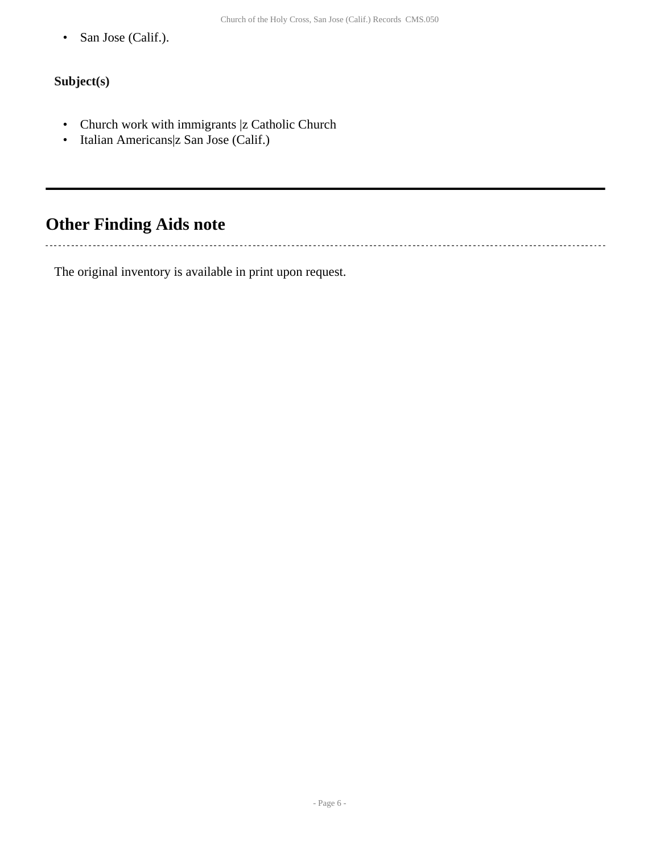• San Jose (Calif.).

#### **Subject(s)**

 $\ddotsc$ 

- Church work with immigrants |z Catholic Church
- Italian Americans|z San Jose (Calif.)

# <span id="page-5-0"></span>**Other Finding Aids note**

The original inventory is available in print upon request.